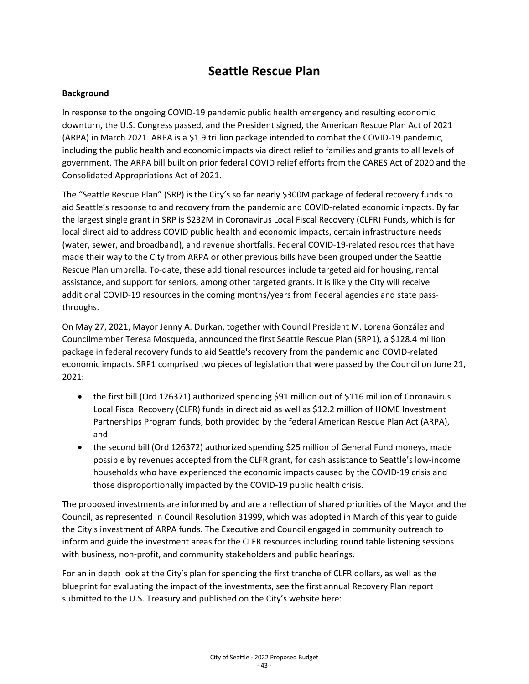#### **Background**

In response to the ongoing COVID-19 pandemic public health emergency and resulting economic downturn, the U.S. Congress passed, and the President signed, the American Rescue Plan Act of 2021 (ARPA) in March 2021. ARPA is a \$1.9 trillion package intended to combat the COVID-19 pandemic, including the public health and economic impacts via direct relief to families and grants to all levels of government. The ARPA bill built on prior federal COVID relief efforts from the CARES Act of 2020 and the Consolidated Appropriations Act of 2021.

The "Seattle Rescue Plan" (SRP) is the City's so far nearly \$300M package of federal recovery funds to aid Seattle's response to and recovery from the pandemic and COVID-related economic impacts. By far the largest single grant in SRP is \$232M in Coronavirus Local Fiscal Recovery (CLFR) Funds, which is for local direct aid to address COVID public health and economic impacts, certain infrastructure needs (water, sewer, and broadband), and revenue shortfalls. Federal COVID-19-related resources that have made their way to the City from ARPA or other previous bills have been grouped under the Seattle Rescue Plan umbrella. To-date, these additional resources include targeted aid for housing, rental assistance, and support for seniors, among other targeted grants. It is likely the City will receive additional COVID-19 resources in the coming months/years from Federal agencies and state passthroughs.

On May 27, 2021, Mayor Jenny A. Durkan, together with Council President M. Lorena González and Councilmember Teresa Mosqueda, announced the first Seattle Rescue Plan (SRP1), a \$128.4 million package in federal recovery funds to aid Seattle's recovery from the pandemic and COVID-related economic impacts. SRP1 comprised two pieces of legislation that were passed by the Council on June 21, 2021:

- the first bill (Ord 126371) authorized spending \$91 million out of \$116 million of Coronavirus Local Fiscal Recovery (CLFR) funds in direct aid as well as \$12.2 million of HOME Investment Partnerships Program funds, both provided by the federal American Rescue Plan Act (ARPA), and
- the second bill (Ord 126372) authorized spending \$25 million of General Fund moneys, made possible by revenues accepted from the CLFR grant, for cash assistance to Seattle's low-income households who have experienced the economic impacts caused by the COVID-19 crisis and those disproportionally impacted by the COVID-19 public health crisis.

The proposed investments are informed by and are a reflection of shared priorities of the Mayor and the Council, as represented in Council Resolution 31999, which was adopted in March of this year to guide the City's investment of ARPA funds. The Executive and Council engaged in community outreach to inform and guide the investment areas for the CLFR resources including round table listening sessions with business, non-profit, and community stakeholders and public hearings.

For an in depth look at the City's plan for spending the first tranche of CLFR dollars, as well as the blueprint for evaluating the impact of the investments, see the first annual Recovery Plan report submitted to the U.S. Treasury and published on the City's website here: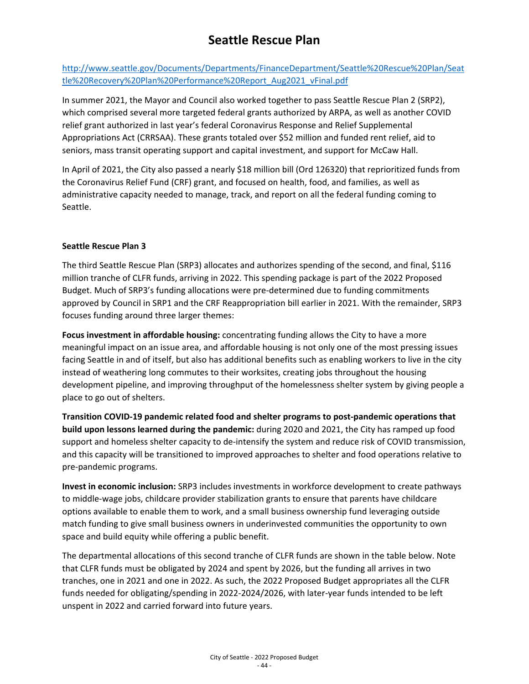[http://www.seattle.gov/Documents/Departments/FinanceDepartment/Seattle%20Rescue%20Plan/Seat](http://www.seattle.gov/Documents/Departments/FinanceDepartment/Seattle%20Rescue%20Plan/Seattle%20Recovery%20Plan%20Performance%20Report_Aug2021_vFinal.pdf) [tle%20Recovery%20Plan%20Performance%20Report\\_Aug2021\\_vFinal.pdf](http://www.seattle.gov/Documents/Departments/FinanceDepartment/Seattle%20Rescue%20Plan/Seattle%20Recovery%20Plan%20Performance%20Report_Aug2021_vFinal.pdf) 

In summer 2021, the Mayor and Council also worked together to pass Seattle Rescue Plan 2 (SRP2), which comprised several more targeted federal grants authorized by ARPA, as well as another COVID relief grant authorized in last year's federal Coronavirus Response and Relief Supplemental Appropriations Act (CRRSAA). These grants totaled over \$52 million and funded rent relief, aid to seniors, mass transit operating support and capital investment, and support for McCaw Hall.

In April of 2021, the City also passed a nearly \$18 million bill (Ord 126320) that reprioritized funds from the Coronavirus Relief Fund (CRF) grant, and focused on health, food, and families, as well as administrative capacity needed to manage, track, and report on all the federal funding coming to Seattle.

#### **Seattle Rescue Plan 3**

The third Seattle Rescue Plan (SRP3) allocates and authorizes spending of the second, and final, \$116 million tranche of CLFR funds, arriving in 2022. This spending package is part of the 2022 Proposed Budget. Much of SRP3's funding allocations were pre-determined due to funding commitments approved by Council in SRP1 and the CRF Reappropriation bill earlier in 2021. With the remainder, SRP3 focuses funding around three larger themes:

**Focus investment in affordable housing:** concentrating funding allows the City to have a more meaningful impact on an issue area, and affordable housing is not only one of the most pressing issues facing Seattle in and of itself, but also has additional benefits such as enabling workers to live in the city instead of weathering long commutes to their worksites, creating jobs throughout the housing development pipeline, and improving throughput of the homelessness shelter system by giving people a place to go out of shelters.

**Transition COVID-19 pandemic related food and shelter programs to post-pandemic operations that build upon lessons learned during the pandemic:** during 2020 and 2021, the City has ramped up food support and homeless shelter capacity to de-intensify the system and reduce risk of COVID transmission, and this capacity will be transitioned to improved approaches to shelter and food operations relative to pre-pandemic programs.

**Invest in economic inclusion:** SRP3 includes investments in workforce development to create pathways to middle-wage jobs, childcare provider stabilization grants to ensure that parents have childcare options available to enable them to work, and a small business ownership fund leveraging outside match funding to give small business owners in underinvested communities the opportunity to own space and build equity while offering a public benefit.

The departmental allocations of this second tranche of CLFR funds are shown in the table below. Note that CLFR funds must be obligated by 2024 and spent by 2026, but the funding all arrives in two tranches, one in 2021 and one in 2022. As such, the 2022 Proposed Budget appropriates all the CLFR funds needed for obligating/spending in 2022-2024/2026, with later-year funds intended to be left unspent in 2022 and carried forward into future years.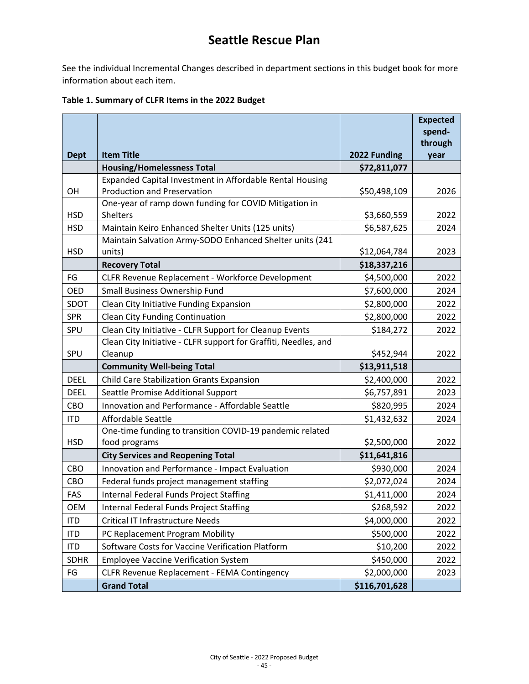See the individual Incremental Changes described in department sections in this budget book for more information about each item.

|             |                                                                          |               | <b>Expected</b><br>spend- |
|-------------|--------------------------------------------------------------------------|---------------|---------------------------|
|             |                                                                          |               | through                   |
| <b>Dept</b> | <b>Item Title</b>                                                        | 2022 Funding  | year                      |
|             | <b>Housing/Homelessness Total</b>                                        | \$72,811,077  |                           |
|             | Expanded Capital Investment in Affordable Rental Housing                 |               |                           |
| OH          | <b>Production and Preservation</b>                                       | \$50,498,109  | 2026                      |
| <b>HSD</b>  | One-year of ramp down funding for COVID Mitigation in<br><b>Shelters</b> | \$3,660,559   | 2022                      |
| <b>HSD</b>  | Maintain Keiro Enhanced Shelter Units (125 units)                        | \$6,587,625   | 2024                      |
|             | Maintain Salvation Army-SODO Enhanced Shelter units (241                 |               |                           |
| <b>HSD</b>  | units)                                                                   | \$12,064,784  | 2023                      |
|             | <b>Recovery Total</b>                                                    | \$18,337,216  |                           |
| FG          | CLFR Revenue Replacement - Workforce Development                         | \$4,500,000   | 2022                      |
| <b>OED</b>  | Small Business Ownership Fund                                            | \$7,600,000   | 2024                      |
| SDOT        | Clean City Initiative Funding Expansion                                  | \$2,800,000   | 2022                      |
| <b>SPR</b>  | <b>Clean City Funding Continuation</b>                                   | \$2,800,000   | 2022                      |
| SPU         | Clean City Initiative - CLFR Support for Cleanup Events                  | \$184,272     | 2022                      |
|             | Clean City Initiative - CLFR support for Graffiti, Needles, and          |               |                           |
| SPU         | Cleanup                                                                  | \$452,944     | 2022                      |
|             | <b>Community Well-being Total</b>                                        | \$13,911,518  |                           |
| <b>DEEL</b> | <b>Child Care Stabilization Grants Expansion</b>                         | \$2,400,000   | 2022                      |
| <b>DEEL</b> | Seattle Promise Additional Support                                       | \$6,757,891   | 2023                      |
| CBO         | Innovation and Performance - Affordable Seattle                          | \$820,995     | 2024                      |
| <b>ITD</b>  | <b>Affordable Seattle</b>                                                | \$1,432,632   | 2024                      |
|             | One-time funding to transition COVID-19 pandemic related                 |               |                           |
| <b>HSD</b>  | food programs                                                            | \$2,500,000   | 2022                      |
|             | <b>City Services and Reopening Total</b>                                 | \$11,641,816  |                           |
| CBO         | Innovation and Performance - Impact Evaluation                           | \$930,000     | 2024                      |
| CBO         | Federal funds project management staffing                                | \$2,072,024   | 2024                      |
| FAS         | <b>Internal Federal Funds Project Staffing</b>                           | \$1,411,000   | 2024                      |
| <b>OEM</b>  | <b>Internal Federal Funds Project Staffing</b>                           | \$268,592     | 2022                      |
| <b>ITD</b>  | <b>Critical IT Infrastructure Needs</b>                                  | \$4,000,000   | 2022                      |
| <b>ITD</b>  | PC Replacement Program Mobility                                          | \$500,000     | 2022                      |
| <b>ITD</b>  | Software Costs for Vaccine Verification Platform                         | \$10,200      | 2022                      |
| <b>SDHR</b> | <b>Employee Vaccine Verification System</b>                              | \$450,000     | 2022                      |
| FG          | CLFR Revenue Replacement - FEMA Contingency                              | \$2,000,000   | 2023                      |
|             | <b>Grand Total</b>                                                       | \$116,701,628 |                           |

#### **Table 1. Summary of CLFR Items in the 2022 Budget**